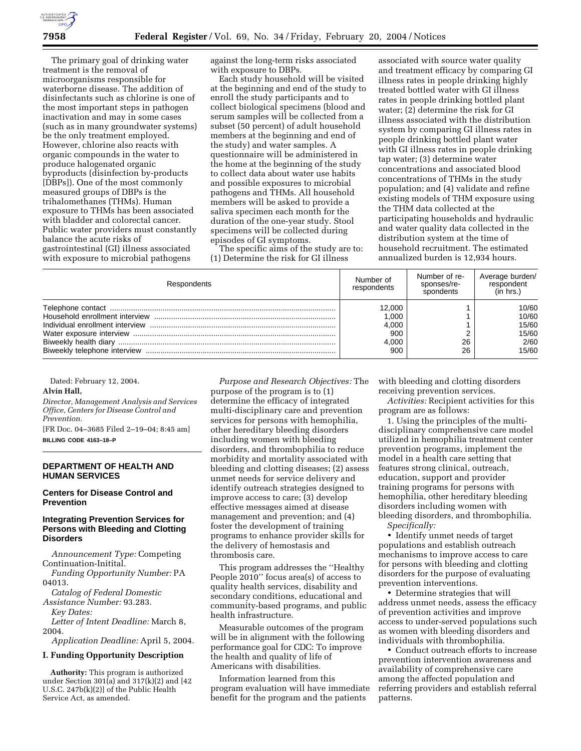The primary goal of drinking water treatment is the removal of microorganisms responsible for waterborne disease. The addition of disinfectants such as chlorine is one of the most important steps in pathogen inactivation and may in some cases (such as in many groundwater systems) be the only treatment employed. However, chlorine also reacts with organic compounds in the water to produce halogenated organic byproducts (disinfection by-products [DBPs]). One of the most commonly measured groups of DBPs is the trihalomethanes (THMs). Human exposure to THMs has been associated with bladder and colorectal cancer. Public water providers must constantly balance the acute risks of gastrointestinal (GI) illness associated with exposure to microbial pathogens

against the long-term risks associated with exposure to DBPs.

Each study household will be visited at the beginning and end of the study to enroll the study participants and to collect biological specimens (blood and serum samples will be collected from a subset (50 percent) of adult household members at the beginning and end of the study) and water samples. A questionnaire will be administered in the home at the beginning of the study to collect data about water use habits and possible exposures to microbial pathogens and THMs. All household members will be asked to provide a saliva specimen each month for the duration of the one-year study. Stool specimens will be collected during episodes of GI symptoms.

The specific aims of the study are to: (1) Determine the risk for GI illness

associated with source water quality and treatment efficacy by comparing GI illness rates in people drinking highly treated bottled water with GI illness rates in people drinking bottled plant water; (2) determine the risk for GI illness associated with the distribution system by comparing GI illness rates in people drinking bottled plant water with GI illness rates in people drinking tap water; (3) determine water concentrations and associated blood concentrations of THMs in the study population; and (4) validate and refine existing models of THM exposure using the THM data collected at the participating households and hydraulic and water quality data collected in the distribution system at the time of household recruitment. The estimated annualized burden is 12,934 hours.

| Respondents | Number of<br>respondents | Number of re-<br>sponses/re-<br>spondents | Average burden/<br>respondent<br>(in hrs.) |
|-------------|--------------------------|-------------------------------------------|--------------------------------------------|
|             | 12.000                   |                                           | 10/60                                      |
|             | 1.000                    |                                           | 10/60                                      |
|             | 4,000                    |                                           | 15/60                                      |
|             | 900                      |                                           | 15/60                                      |
|             | 4.000                    | 26                                        | 2/60                                       |
|             | 900                      | 26                                        | 15/60                                      |

Dated: February 12, 2004.

#### **Alvin Hall,**

*Director, Management Analysis and Services Office, Centers for Disease Control and Prevention.*

[FR Doc. 04–3685 Filed 2–19–04; 8:45 am] **BILLING CODE 4163–18–P**

#### **DEPARTMENT OF HEALTH AND HUMAN SERVICES**

#### **Centers for Disease Control and Prevention**

# **Integrating Prevention Services for Persons with Bleeding and Clotting Disorders**

*Announcement Type:* Competing Continuation-Initital.

*Funding Opportunity Number:* PA 04013.

*Catalog of Federal Domestic* 

*Assistance Number:* 93.283.

*Key Dates:*

*Letter of Intent Deadline:* March 8, 2004.

*Application Deadline:* April 5, 2004.

# **I. Funding Opportunity Description**

**Authority:** This program is authorized under Section 301(a) and 317(k)(2) and  $[42]$ U.S.C. 247b(k)(2)] of the Public Health Service Act, as amended.

*Purpose and Research Objectives:* The purpose of the program is to (1) determine the efficacy of integrated multi-disciplinary care and prevention services for persons with hemophilia, other hereditary bleeding disorders including women with bleeding disorders, and thrombophilia to reduce morbidity and mortality associated with bleeding and clotting diseases; (2) assess unmet needs for service delivery and identify outreach strategies designed to improve access to care; (3) develop effective messages aimed at disease management and prevention; and (4) foster the development of training programs to enhance provider skills for the delivery of hemostasis and thrombosis care.

This program addresses the ''Healthy People 2010'' focus area(s) of access to quality health services, disability and secondary conditions, educational and community-based programs, and public health infrastructure.

Measurable outcomes of the program will be in alignment with the following performance goal for CDC: To improve the health and quality of life of Americans with disabilities.

Information learned from this program evaluation will have immediate benefit for the program and the patients

with bleeding and clotting disorders receiving prevention services.

*Activities:* Recipient activities for this program are as follows:

1. Using the principles of the multidisciplinary comprehensive care model utilized in hemophilia treatment center prevention programs, implement the model in a health care setting that features strong clinical, outreach, education, support and provider training programs for persons with hemophilia, other hereditary bleeding disorders including women with bleeding disorders, and thrombophilia. *Specifically:*

• Identify unmet needs of target populations and establish outreach mechanisms to improve access to care for persons with bleeding and clotting disorders for the purpose of evaluating prevention interventions.

• Determine strategies that will address unmet needs, assess the efficacy of prevention activities and improve access to under-served populations such as women with bleeding disorders and individuals with thrombophilia.

• Conduct outreach efforts to increase prevention intervention awareness and availability of comprehensive care among the affected population and referring providers and establish referral patterns.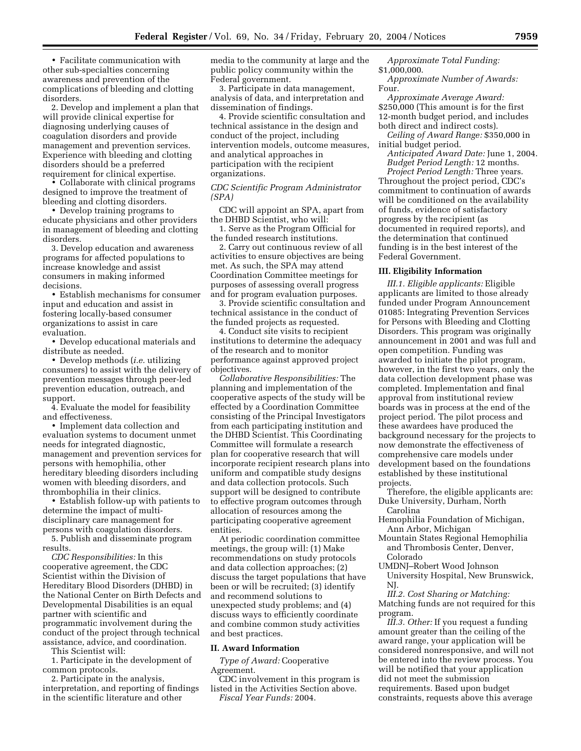• Facilitate communication with other sub-specialties concerning awareness and prevention of the complications of bleeding and clotting disorders.

2. Develop and implement a plan that will provide clinical expertise for diagnosing underlying causes of coagulation disorders and provide management and prevention services. Experience with bleeding and clotting disorders should be a preferred requirement for clinical expertise.

• Collaborate with clinical programs designed to improve the treatment of bleeding and clotting disorders.

• Develop training programs to educate physicians and other providers in management of bleeding and clotting disorders.

3. Develop education and awareness programs for affected populations to increase knowledge and assist consumers in making informed decisions.

• Establish mechanisms for consumer input and education and assist in fostering locally-based consumer organizations to assist in care evaluation.

• Develop educational materials and distribute as needed.

• Develop methods (*i.e.* utilizing consumers) to assist with the delivery of prevention messages through peer-led prevention education, outreach, and support.

4. Evaluate the model for feasibility and effectiveness.

• Implement data collection and evaluation systems to document unmet needs for integrated diagnostic, management and prevention services for persons with hemophilia, other hereditary bleeding disorders including women with bleeding disorders, and thrombophilia in their clinics.

• Establish follow-up with patients to determine the impact of multidisciplinary care management for persons with coagulation disorders.

5. Publish and disseminate program results.

*CDC Responsibilities:* In this cooperative agreement, the CDC Scientist within the Division of Hereditary Blood Disorders (DHBD) in the National Center on Birth Defects and Developmental Disabilities is an equal partner with scientific and programmatic involvement during the conduct of the project through technical assistance, advice, and coordination.

This Scientist will:

1. Participate in the development of common protocols.

2. Participate in the analysis, interpretation, and reporting of findings in the scientific literature and other

media to the community at large and the public policy community within the Federal government.

3. Participate in data management, analysis of data, and interpretation and dissemination of findings.

4. Provide scientific consultation and technical assistance in the design and conduct of the project, including intervention models, outcome measures, and analytical approaches in participation with the recipient organizations.

*CDC Scientific Program Administrator (SPA)* 

CDC will appoint an SPA, apart from the DHBD Scientist, who will:

1. Serve as the Program Official for the funded research institutions.

2. Carry out continuous review of all activities to ensure objectives are being met. As such, the SPA may attend Coordination Committee meetings for purposes of assessing overall progress and for program evaluation purposes.

3. Provide scientific consultation and technical assistance in the conduct of the funded projects as requested.

4. Conduct site visits to recipient institutions to determine the adequacy of the research and to monitor performance against approved project objectives.

*Collaborative Responsibilities:* The planning and implementation of the cooperative aspects of the study will be effected by a Coordination Committee consisting of the Principal Investigators from each participating institution and the DHBD Scientist. This Coordinating Committee will formulate a research plan for cooperative research that will incorporate recipient research plans into uniform and compatible study designs and data collection protocols. Such support will be designed to contribute to effective program outcomes through allocation of resources among the participating cooperative agreement entities.

At periodic coordination committee meetings, the group will: (1) Make recommendations on study protocols and data collection approaches; (2) discuss the target populations that have been or will be recruited; (3) identify and recommend solutions to unexpected study problems; and (4) discuss ways to efficiently coordinate and combine common study activities and best practices.

### **II. Award Information**

*Type of Award:* Cooperative Agreement.

CDC involvement in this program is listed in the Activities Section above. *Fiscal Year Funds:* 2004.

*Approximate Total Funding:* \$1,000,000.

*Approximate Number of Awards:* Four.

*Approximate Average Award:* \$250,000 (This amount is for the first 12-month budget period, and includes both direct and indirect costs).

*Ceiling of Award Range:* \$350,000 in initial budget period.

*Anticipated Award Date:* June 1, 2004. *Budget Period Length:* 12 months.

*Project Period Length:* Three years. Throughout the project period, CDC's commitment to continuation of awards will be conditioned on the availability of funds, evidence of satisfactory progress by the recipient (as documented in required reports), and the determination that continued funding is in the best interest of the Federal Government.

#### **III. Eligibility Information**

*III.1. Eligible applicants:* Eligible applicants are limited to those already funded under Program Announcement 01085: Integrating Prevention Services for Persons with Bleeding and Clotting Disorders. This program was originally announcement in 2001 and was full and open competition. Funding was awarded to initiate the pilot program, however, in the first two years, only the data collection development phase was completed. Implementation and final approval from institutional review boards was in process at the end of the project period. The pilot process and these awardees have produced the background necessary for the projects to now demonstrate the effectiveness of comprehensive care models under development based on the foundations established by these institutional projects.

Therefore, the eligible applicants are: Duke University, Durham, North Carolina

- Hemophilia Foundation of Michigan, Ann Arbor, Michigan
- Mountain States Regional Hemophilia and Thrombosis Center, Denver, Colorado
- UMDNJ–Robert Wood Johnson University Hospital, New Brunswick, NJ.

*III.2. Cost Sharing or Matching:* Matching funds are not required for this program.

*III.3. Other:* If you request a funding amount greater than the ceiling of the award range, your application will be considered nonresponsive, and will not be entered into the review process. You will be notified that your application did not meet the submission requirements. Based upon budget constraints, requests above this average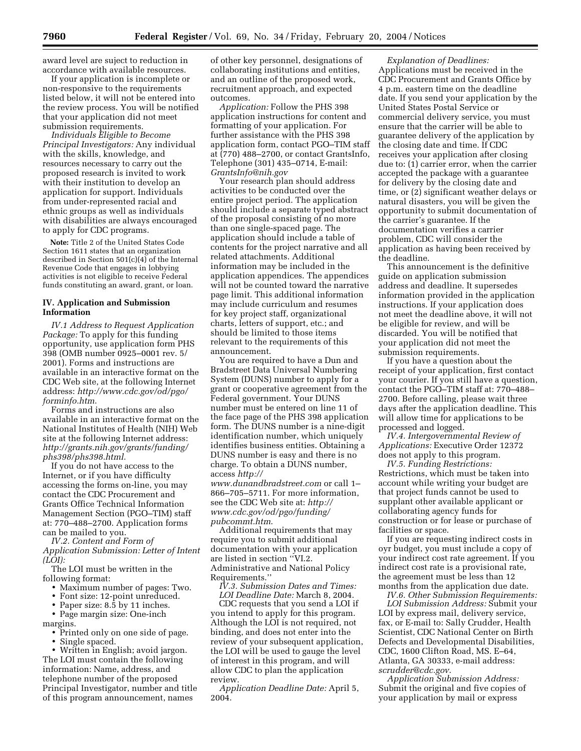award level are suject to reduction in accordance with available resources.

If your application is incomplete or non-responsive to the requirements listed below, it will not be entered into the review process. You will be notified that your application did not meet submission requirements.

*Individuals Eligible to Become Principal Investigators:* Any individual with the skills, knowledge, and resources necessary to carry out the proposed research is invited to work with their institution to develop an application for support. Individuals from under-represented racial and ethnic groups as well as individuals with disabilities are always encouraged to apply for CDC programs.

**Note:** Title 2 of the United States Code Section 1611 states that an organization described in Section 501(c)(4) of the Internal Revenue Code that engages in lobbying activities is not eligible to receive Federal funds constituting an award, grant, or loan.

## **IV. Application and Submission Information**

*IV.1 Address to Request Application Package:* To apply for this funding opportunity, use application form PHS 398 (OMB number 0925–0001 rev. 5/ 2001). Forms and instructions are available in an interactive format on the CDC Web site, at the following Internet address: *http://www.cdc.gov/od/pgo/ forminfo.htm*.

Forms and instructions are also available in an interactive format on the National Institutes of Health (NIH) Web site at the following Internet address: *http://grants.nih.gov/grants/funding/ phs398/phs398.html.*

If you do not have access to the Internet, or if you have difficulty accessing the forms on-line, you may contact the CDC Procurement and Grants Office Technical Information Management Section (PGO–TIM) staff at: 770–488–2700. Application forms can be mailed to you.

*IV.2. Content and Form of Application Submission: Letter of Intent (LOI):*

The LOI must be written in the following format:

- Maximum number of pages: Two.
- Font size: 12-point unreduced.

• Paper size: 8.5 by 11 inches.

• Page margin size: One-inch

margins.

• Printed only on one side of page.

• Single spaced.

• Written in English; avoid jargon. The LOI must contain the following information: Name, address, and telephone number of the proposed Principal Investigator, number and title of this program announcement, names

of other key personnel, designations of collaborating institutions and entities, and an outline of the proposed work, recruitment approach, and expected outcomes.

*Application:* Follow the PHS 398 application instructions for content and formatting of your application. For further assistance with the PHS 398 application form, contact PGO–TIM staff at (770) 488–2700, or contact GrantsInfo, Telephone (301) 435–0714, E-mail: *GrantsInfo@nih.gov*

Your research plan should address activities to be conducted over the entire project period. The application should include a separate typed abstract of the proposal consisting of no more than one single-spaced page. The application should include a table of contents for the project narrative and all related attachments. Additional information may be included in the application appendices. The appendices will not be counted toward the narrative page limit. This additional information may include curriculum and resumes for key project staff, organizational charts, letters of support, etc.; and should be limited to those items relevant to the requirements of this announcement.

You are required to have a Dun and Bradstreet Data Universal Numbering System (DUNS) number to apply for a grant or cooperative agreement from the Federal government. Your DUNS number must be entered on line 11 of the face page of the PHS 398 application form. The DUNS number is a nine-digit identification number, which uniquely identifies business entities. Obtaining a DUNS number is easy and there is no charge. To obtain a DUNS number, access *http://*

*www.dunandbradstreet.com* or call 1– 866–705–5711. For more information, see the CDC Web site at: *http:// www.cdc.gov/od/pgo/funding/ pubcommt.htm*.

Additional requirements that may require you to submit additional documentation with your application are listed in section ''VI.2. Administrative and National Policy Requirements.''

*IV.3. Submission Dates and Times:*

*LOI Deadline Date:* March 8, 2004. CDC requests that you send a LOI if you intend to apply for this program. Although the LOI is not required, not binding, and does not enter into the review of your subsequent application, the LOI will be used to gauge the level of interest in this program, and will allow CDC to plan the application review.

*Application Deadline Date:* April 5, 2004.

*Explanation of Deadlines:* Applications must be received in the CDC Procurement and Grants Office by 4 p.m. eastern time on the deadline date. If you send your application by the United States Postal Service or commercial delivery service, you must ensure that the carrier will be able to guarantee delivery of the application by the closing date and time. If CDC receives your application after closing due to: (1) carrier error, when the carrier accepted the package with a guarantee for delivery by the closing date and time, or (2) significant weather delays or natural disasters, you will be given the opportunity to submit documentation of the carrier's guarantee. If the documentation verifies a carrier problem, CDC will consider the application as having been received by the deadline.

This announcement is the definitive guide on application submission address and deadline. It supersedes information provided in the application instructions. If your application does not meet the deadline above, it will not be eligible for review, and will be discarded. You will be notified that your application did not meet the submission requirements.

If you have a question about the receipt of your application, first contact your courier. If you still have a question, contact the PGO–TIM staff at: 770–488– 2700. Before calling, please wait three days after the application deadline. This will allow time for applications to be processed and logged.

*IV.4. Intergovernmental Review of Applications:* Executive Order 12372 does not apply to this program.

*IV.5. Funding Restrictions:* Restrictions, which must be taken into account while writing your budget are that project funds cannot be used to supplant other available applicant or collaborating agency funds for construction or for lease or purchase of facilities or space.

If you are requesting indirect costs in oyr budget, you must include a copy of your indirect cost rate agreement. If you indirect cost rate is a provisional rate, the agreement must be less than 12 months from the application due date.

*IV.6. Other Submission Requirements: LOI Submission Address:* Submit your LOI by express mail, delivery service, fax, or E-mail to: Sally Crudder, Health Scientist, CDC National Center on Birth Defects and Developmental Disabilities, CDC, 1600 Clifton Road, MS. E–64, Atlanta, GA 30333, e-mail address: *scrudder@cdc.gov*.

*Application Submission Address:* Submit the original and five copies of your application by mail or express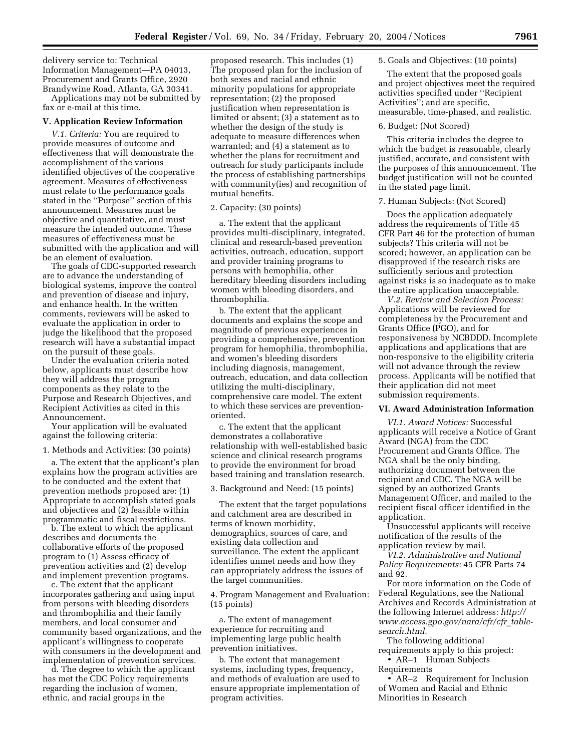delivery service to: Technical Information Management—PA 04013, Procurement and Grants Office, 2920 Brandywine Road, Atlanta, GA 30341.

Applications may not be submitted by fax or e-mail at this time.

#### **V. Application Review Information**

*V.1. Criteria:* You are required to provide measures of outcome and effectiveness that will demonstrate the accomplishment of the various identified objectives of the cooperative agreement. Measures of effectiveness must relate to the performance goals stated in the ''Purpose'' section of this announcement. Measures must be objective and quantitative, and must measure the intended outcome. These measures of effectiveness must be submitted with the application and will be an element of evaluation.

The goals of CDC-supported research are to advance the understanding of biological systems, improve the control and prevention of disease and injury, and enhance health. In the written comments, reviewers will be asked to evaluate the application in order to judge the likelihood that the proposed research will have a substantial impact on the pursuit of these goals.

Under the evaluation criteria noted below, applicants must describe how they will address the program components as they relate to the Purpose and Research Objectives, and Recipient Activities as cited in this Announcement.

Your application will be evaluated against the following criteria:

1. Methods and Activities: (30 points)

a. The extent that the applicant's plan explains how the program activities are to be conducted and the extent that prevention methods proposed are: (1) Appropriate to accomplish stated goals and objectives and (2) feasible within programmatic and fiscal restrictions.

b. The extent to which the applicant describes and documents the collaborative efforts of the proposed program to (1) Assess efficacy of prevention activities and (2) develop and implement prevention programs.

c. The extent that the applicant incorporates gathering and using input from persons with bleeding disorders and thrombophilia and their family members, and local consumer and community based organizations, and the applicant's willingness to cooperate with consumers in the development and implementation of prevention services.

d. The degree to which the applicant has met the CDC Policy requirements regarding the inclusion of women, ethnic, and racial groups in the

proposed research. This includes (1) The proposed plan for the inclusion of both sexes and racial and ethnic minority populations for appropriate representation; (2) the proposed justification when representation is limited or absent; (3) a statement as to whether the design of the study is adequate to measure differences when warranted; and (4) a statement as to whether the plans for recruitment and outreach for study participants include the process of establishing partnerships with community(ies) and recognition of mutual benefits.

#### 2. Capacity: (30 points)

a. The extent that the applicant provides multi-disciplinary, integrated, clinical and research-based prevention activities, outreach, education, support and provider training programs to persons with hemophilia, other hereditary bleeding disorders including women with bleeding disorders, and thrombophilia.

b. The extent that the applicant documents and explains the scope and magnitude of previous experiences in providing a comprehensive, prevention program for hemophilia, thrombophilia, and women's bleeding disorders including diagnosis, management, outreach, education, and data collection utilizing the multi-disciplinary, comprehensive care model. The extent to which these services are preventionoriented.

c. The extent that the applicant demonstrates a collaborative relationship with well-established basic science and clinical research programs to provide the environment for broad based training and translation research.

3. Background and Need: (15 points)

The extent that the target populations and catchment area are described in terms of known morbidity, demographics, sources of care, and existing data collection and surveillance. The extent the applicant identifies unmet needs and how they can appropriately address the issues of the target communities.

4. Program Management and Evaluation: (15 points)

a. The extent of management experience for recruiting and implementing large public health prevention initiatives.

b. The extent that management systems, including types, frequency, and methods of evaluation are used to ensure appropriate implementation of program activities.

### 5. Goals and Objectives: (10 points)

The extent that the proposed goals and project objectives meet the required activities specified under ''Recipient Activities''; and are specific, measurable, time-phased, and realistic.

#### 6. Budget: (Not Scored)

This criteria includes the degree to which the budget is reasonable, clearly justified, accurate, and consistent with the purposes of this announcement. The budget justification will not be counted in the stated page limit.

### 7. Human Subjects: (Not Scored)

Does the application adequately address the requirements of Title 45 CFR Part 46 for the protection of human subjects? This criteria will not be scored; however, an application can be disapproved if the research risks are sufficiently serious and protection against risks is so inadequate as to make the entire application unacceptable.

*V.2. Review and Selection Process:* Applications will be reviewed for completeness by the Procurement and Grants Office (PGO), and for responsiveness by NCBDDD. Incomplete applications and applications that are non-responsive to the eligibility criteria will not advance through the review process. Applicants will be notified that their application did not meet submission requirements.

#### **VI. Award Administration Information**

*VI.1. Award Notices:* Successful applicants will receive a Notice of Grant Award (NGA) from the CDC Procurement and Grants Office. The NGA shall be the only binding, authorizing document between the recipient and CDC. The NGA will be signed by an authorized Grants Management Officer, and mailed to the recipient fiscal officer identified in the application.

Unsuccessful applicants will receive notification of the results of the application review by mail.

*VI.2. Administrative and National Policy Requirements:* 45 CFR Parts 74 and 92.

For more information on the Code of Federal Regulations, see the National Archives and Records Administration at the following Internet address: *http:// www.access.gpo.gov/nara/cfr/cfr*\_*tablesearch.html.*

The following additional requirements apply to this project: • AR-1 Human Subjects Requirements

• AR–2 Requirement for Inclusion of Women and Racial and Ethnic Minorities in Research